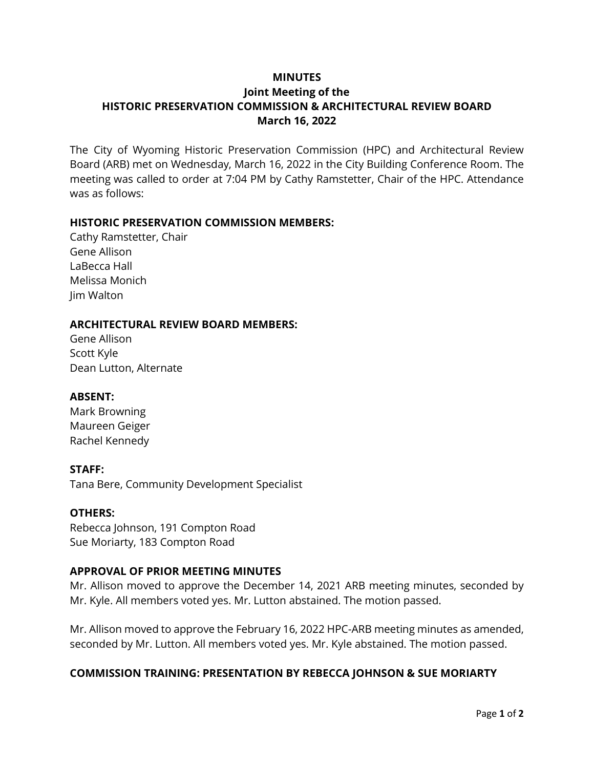## **MINUTES**

# **Joint Meeting of the HISTORIC PRESERVATION COMMISSION & ARCHITECTURAL REVIEW BOARD March 16, 2022**

The City of Wyoming Historic Preservation Commission (HPC) and Architectural Review Board (ARB) met on Wednesday, March 16, 2022 in the City Building Conference Room. The meeting was called to order at 7:04 PM by Cathy Ramstetter, Chair of the HPC. Attendance was as follows:

## **HISTORIC PRESERVATION COMMISSION MEMBERS:**

Cathy Ramstetter, Chair Gene Allison LaBecca Hall Melissa Monich Jim Walton

#### **ARCHITECTURAL REVIEW BOARD MEMBERS:**

Gene Allison Scott Kyle Dean Lutton, Alternate

#### **ABSENT:**

Mark Browning Maureen Geiger Rachel Kennedy

## **STAFF:**

Tana Bere, Community Development Specialist

#### **OTHERS:**

Rebecca Johnson, 191 Compton Road Sue Moriarty, 183 Compton Road

## **APPROVAL OF PRIOR MEETING MINUTES**

Mr. Allison moved to approve the December 14, 2021 ARB meeting minutes, seconded by Mr. Kyle. All members voted yes. Mr. Lutton abstained. The motion passed.

Mr. Allison moved to approve the February 16, 2022 HPC-ARB meeting minutes as amended, seconded by Mr. Lutton. All members voted yes. Mr. Kyle abstained. The motion passed.

## **COMMISSION TRAINING: PRESENTATION BY REBECCA JOHNSON & SUE MORIARTY**